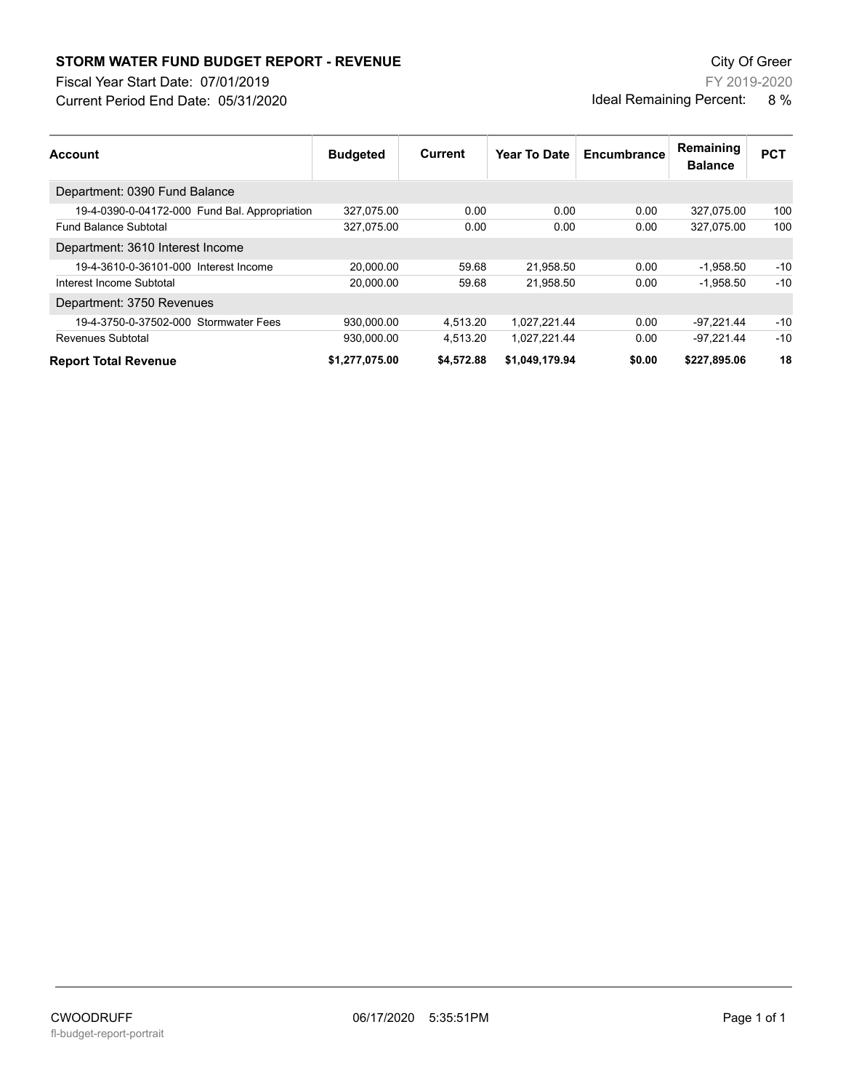## **STORM WATER FUND BUDGET REPORT - REVENUE City Of Green** City Of Green

Fiscal Year Start Date: 07/01/2019

Current Period End Date: 05/31/2020

FY 2019-2020 Ideal Remaining Percent: 8 %

| <b>Account</b>                                | <b>Budgeted</b> | Current    | Year To Date   | Encumbrance | Remaining<br><b>Balance</b> | <b>PCT</b> |
|-----------------------------------------------|-----------------|------------|----------------|-------------|-----------------------------|------------|
| Department: 0390 Fund Balance                 |                 |            |                |             |                             |            |
| 19-4-0390-0-04172-000 Fund Bal. Appropriation | 327,075.00      | 0.00       | 0.00           | 0.00        | 327.075.00                  | 100        |
| <b>Fund Balance Subtotal</b>                  | 327,075.00      | 0.00       | 0.00           | 0.00        | 327.075.00                  | 100        |
| Department: 3610 Interest Income              |                 |            |                |             |                             |            |
| 19-4-3610-0-36101-000 Interest Income         | 20.000.00       | 59.68      | 21,958.50      | 0.00        | $-1,958.50$                 | $-10$      |
| Interest Income Subtotal                      | 20.000.00       | 59.68      | 21,958.50      | 0.00        | $-1.958.50$                 | $-10$      |
| Department: 3750 Revenues                     |                 |            |                |             |                             |            |
| 19-4-3750-0-37502-000 Stormwater Fees         | 930.000.00      | 4.513.20   | 1.027.221.44   | 0.00        | $-97.221.44$                | $-10$      |
| Revenues Subtotal                             | 930,000.00      | 4,513.20   | 1,027,221.44   | 0.00        | $-97.221.44$                | $-10$      |
| <b>Report Total Revenue</b>                   | \$1,277,075.00  | \$4.572.88 | \$1.049.179.94 | \$0.00      | \$227.895.06                | 18         |